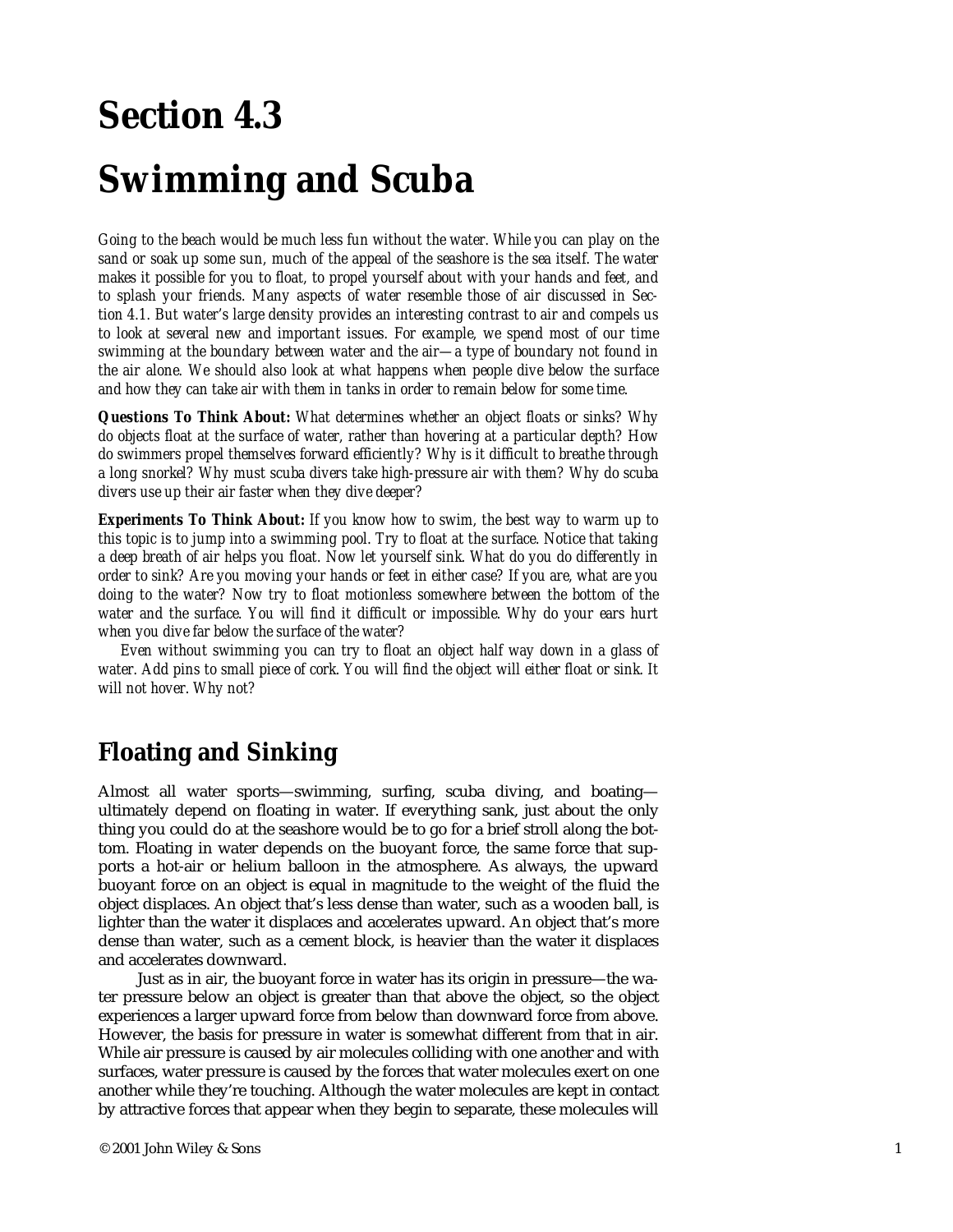# **Section 4.3**

## **Swimming and Scuba**

*Going to the beach would be much less fun without the water. While you can play on the sand or soak up some sun, much of the appeal of the seashore is the sea itself. The water makes it possible for you to float, to propel yourself about with your hands and feet, and to splash your friends. Many aspects of water resemble those of air discussed in Section 4.1. But water's large density provides an interesting contrast to air and compels us*  to look at several new and important issues. For example, we spend most of our time *swimming at the boundary between water and the air—a type of boundary not found in the air alone. We should also look at what happens when people dive below the surface and how they can take air with them in tanks in order to remain below for some time.* 

*Questions To Think About: What determines whether an object floats or sinks? Why do objects float at the surface of water, rather than hovering at a particular depth? How do swimmers propel themselves forward efficiently? Why is it difficult to breathe through a long snorkel? Why must scuba divers take high-pressure air with them? Why do scuba divers use up their air faster when they dive deeper?* 

*Experiments To Think About: If you know how to swim, the best way to warm up to this topic is to jump into a swimming pool. Try to float at the surface. Notice that taking a deep breath of air helps you float. Now let yourself sink. What do you do differently in order to sink? Are you moving your hands or feet in either case? If you are, what are you doing to the water? Now try to float motionless somewhere between the bottom of the water and the surface. You will find it difficult or impossible. Why do your ears hurt when you dive far below the surface of the water?* 

*Even without swimming you can try to float an object half way down in a glass of water. Add pins to small piece of cork. You will find the object will either float or sink. It will not hover. Why not?* 

## **Floating and Sinking**

Almost all water sports—swimming, surfing, scuba diving, and boating ultimately depend on floating in water. If everything sank, just about the only thing you could do at the seashore would be to go for a brief stroll along the bottom. Floating in water depends on the buoyant force, the same force that supports a hot-air or helium balloon in the atmosphere. As always, the upward buoyant force on an object is equal in magnitude to the weight of the fluid the object displaces. An object that's less dense than water, such as a wooden ball, is lighter than the water it displaces and accelerates upward. An object that's more dense than water, such as a cement block, is heavier than the water it displaces and accelerates downward.

Just as in air, the buoyant force in water has its origin in pressure—the water pressure below an object is greater than that above the object, so the object experiences a larger upward force from below than downward force from above. However, the basis for pressure in water is somewhat different from that in air. While air pressure is caused by air molecules colliding with one another and with surfaces, water pressure is caused by the forces that water molecules exert on one another while they're touching. Although the water molecules are kept in contact by attractive forces that appear when they begin to separate, these molecules will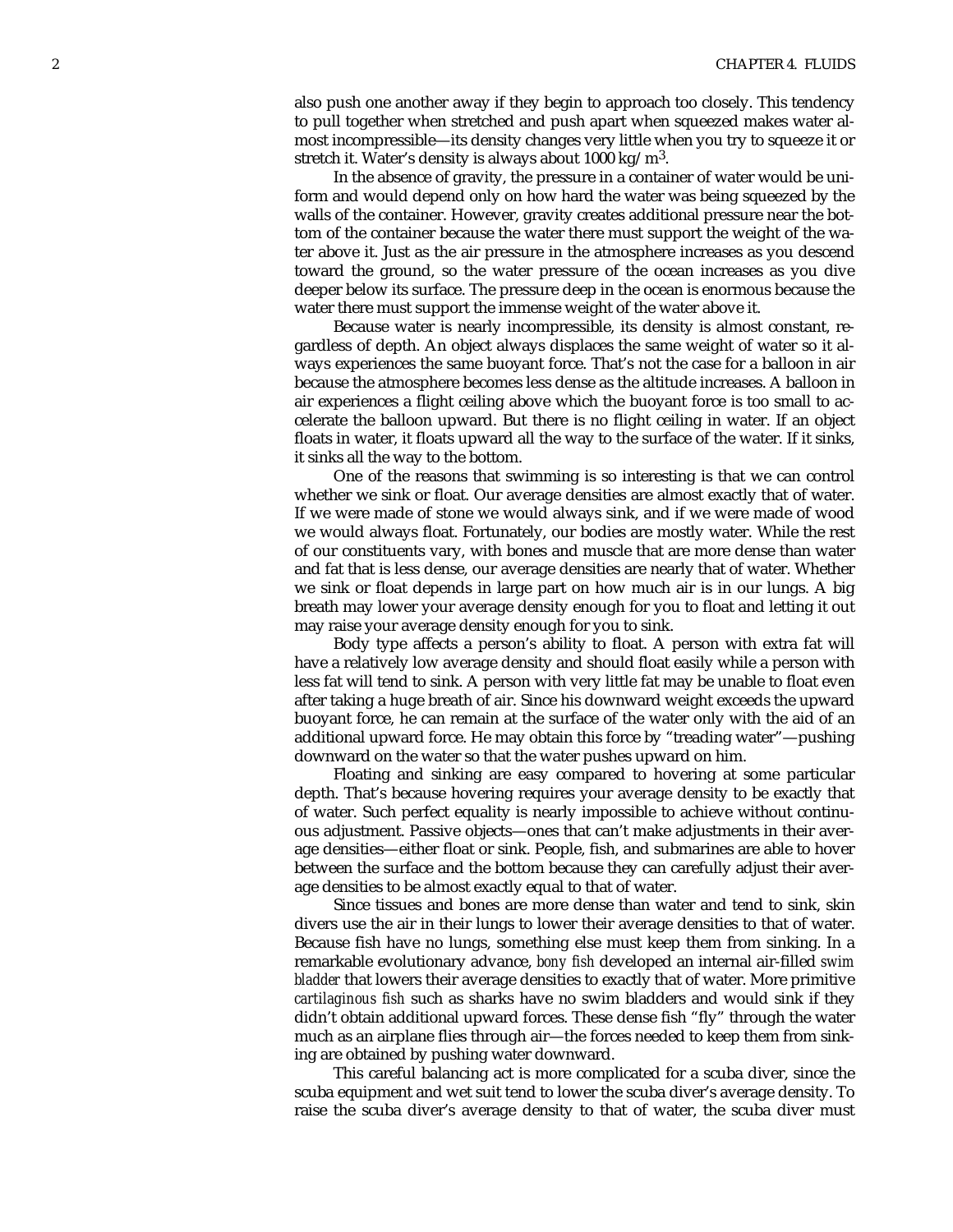also push one another away if they begin to approach too closely. This tendency to pull together when stretched and push apart when squeezed makes water almost incompressible—its density changes very little when you try to squeeze it or stretch it. Water's density is always about 1000 kg/m<sup>3</sup>.

In the absence of gravity, the pressure in a container of water would be uniform and would depend only on how hard the water was being squeezed by the walls of the container. However, gravity creates additional pressure near the bottom of the container because the water there must support the weight of the water above it. Just as the air pressure in the atmosphere increases as you descend toward the ground, so the water pressure of the ocean increases as you dive deeper below its surface. The pressure deep in the ocean is enormous because the water there must support the immense weight of the water above it.

Because water is nearly incompressible, its density is almost constant, regardless of depth. An object always displaces the same weight of water so it always experiences the same buoyant force. That's not the case for a balloon in air because the atmosphere becomes less dense as the altitude increases. A balloon in air experiences a flight ceiling above which the buoyant force is too small to accelerate the balloon upward. But there is no flight ceiling in water. If an object floats in water, it floats upward all the way to the surface of the water. If it sinks, it sinks all the way to the bottom.

One of the reasons that swimming is so interesting is that we can control whether we sink or float. Our average densities are almost exactly that of water. If we were made of stone we would always sink, and if we were made of wood we would always float. Fortunately, our bodies are mostly water. While the rest of our constituents vary, with bones and muscle that are more dense than water and fat that is less dense, our average densities are nearly that of water. Whether we sink or float depends in large part on how much air is in our lungs. A big breath may lower your average density enough for you to float and letting it out may raise your average density enough for you to sink.

Body type affects a person's ability to float. A person with extra fat will have a relatively low average density and should float easily while a person with less fat will tend to sink. A person with very little fat may be unable to float even after taking a huge breath of air. Since his downward weight exceeds the upward buoyant force, he can remain at the surface of the water only with the aid of an additional upward force. He may obtain this force by "treading water"—pushing downward on the water so that the water pushes upward on him.

Floating and sinking are easy compared to hovering at some particular depth. That's because hovering requires your average density to be exactly that of water. Such perfect equality is nearly impossible to achieve without continuous adjustment. Passive objects—ones that can't make adjustments in their average densities—either float or sink. People, fish, and submarines are able to hover between the surface and the bottom because they can carefully adjust their average densities to be almost exactly equal to that of water.

Since tissues and bones are more dense than water and tend to sink, skin divers use the air in their lungs to lower their average densities to that of water. Because fish have no lungs, something else must keep them from sinking. In a remarkable evolutionary advance, *bony fish* developed an internal air-filled *swim bladder* that lowers their average densities to exactly that of water. More primitive *cartilaginous fish* such as sharks have no swim bladders and would sink if they didn't obtain additional upward forces. These dense fish "fly" through the water much as an airplane flies through air—the forces needed to keep them from sinking are obtained by pushing water downward.

This careful balancing act is more complicated for a scuba diver, since the scuba equipment and wet suit tend to lower the scuba diver's average density. To raise the scuba diver's average density to that of water, the scuba diver must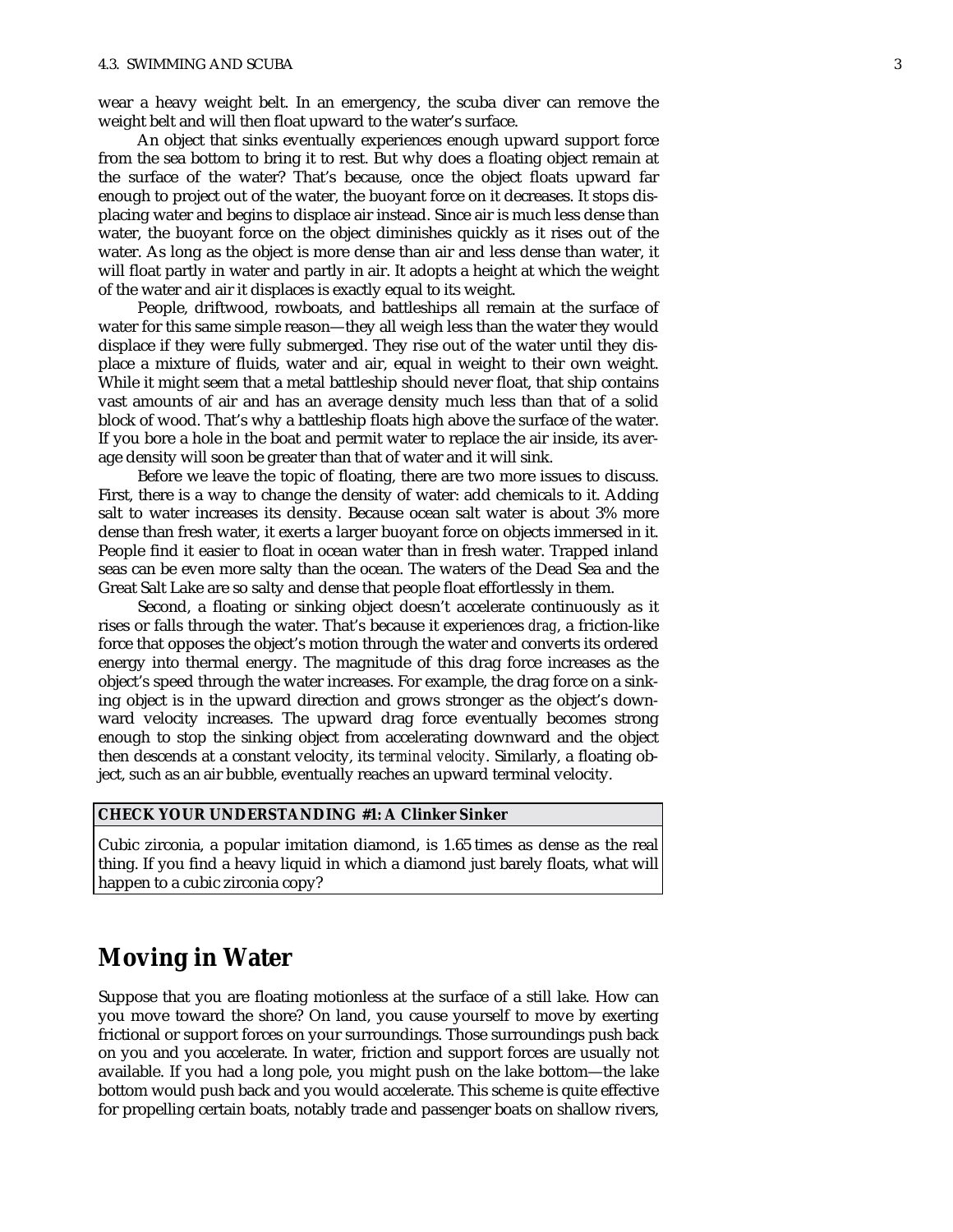wear a heavy weight belt. In an emergency, the scuba diver can remove the weight belt and will then float upward to the water's surface.

An object that sinks eventually experiences enough upward support force from the sea bottom to bring it to rest. But why does a floating object remain at the surface of the water? That's because, once the object floats upward far enough to project out of the water, the buoyant force on it decreases. It stops displacing water and begins to displace air instead. Since air is much less dense than water, the buoyant force on the object diminishes quickly as it rises out of the water. As long as the object is more dense than air and less dense than water, it will float partly in water and partly in air. It adopts a height at which the weight of the water and air it displaces is exactly equal to its weight.

People, driftwood, rowboats, and battleships all remain at the surface of water for this same simple reason—they all weigh less than the water they would displace if they were fully submerged. They rise out of the water until they displace a mixture of fluids, water and air, equal in weight to their own weight. While it might seem that a metal battleship should never float, that ship contains vast amounts of air and has an average density much less than that of a solid block of wood. That's why a battleship floats high above the surface of the water. If you bore a hole in the boat and permit water to replace the air inside, its average density will soon be greater than that of water and it will sink.

Before we leave the topic of floating, there are two more issues to discuss. First, there is a way to change the density of water: add chemicals to it. Adding salt to water increases its density. Because ocean salt water is about 3% more dense than fresh water, it exerts a larger buoyant force on objects immersed in it. People find it easier to float in ocean water than in fresh water. Trapped inland seas can be even more salty than the ocean. The waters of the Dead Sea and the Great Salt Lake are so salty and dense that people float effortlessly in them.

Second, a floating or sinking object doesn 't accelerate continuously as it rises or falls through the water. That's because it experiences *drag*, a friction-like force that opposes the object's motion through the water and converts its ordered energy into thermal energy. The magnitude of this drag force increases as the object's speed through the water increases. For example, the drag force on a sinking object is in the upward direction and grows stronger as the object's downward velocity increases. The upward drag force eventually becomes strong enough to stop the sinking object from accelerating downward and the object then descends at a constant velocity, its *terminal velocity*. Similarly, a floating object, such as an air bubble, eventually reaches an upward terminal velocity.

#### **CHECK YOUR UNDERSTANDING #1: A Clinker Sinker**

Cubic zirconia, a popular imitation diamond, is 1.65 times as dense as the real thing. If you find a heavy liquid in which a diamond just barely floats, what will happen to a cubic zirconia copy?

## **Moving in Water**

Suppose that you are floating motionless at the surface of a still lake. How can you move toward the shore? On land, you cause yourself to move by exerting frictional or support forces on your surroundings. Those surroundings push back on you and you accelerate. In water, friction and support forces are usually not available. If you had a long pole, you might push on the lake bottom—the lake bottom would push back and you would accelerate. This scheme is quite effective for propelling certain boats, notably trade and passenger boats on shallow rivers,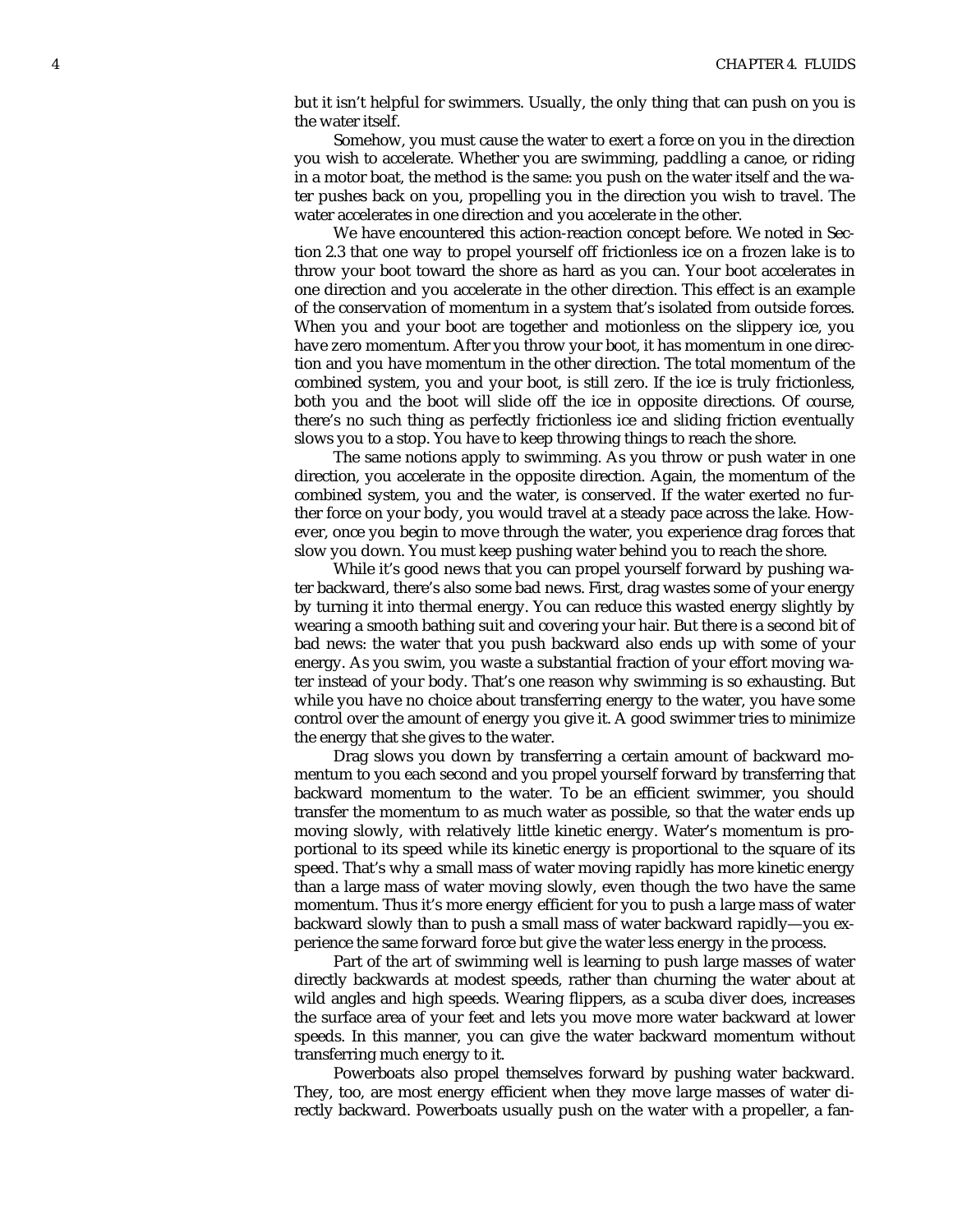but it isn't helpful for swimmers. Usually, the only thing that can push on you is the water itself.

Somehow, you must cause the water to exert a force on you in the direction you wish to accelerate. Whether you are swimming, paddling a canoe, or riding in a motor boat, the method is the same: you push on the water itself and the water pushes back on you, propelling you in the direction you wish to travel. The water accelerates in one direction and you accelerate in the other.

We have encountered this action-reaction concept before. We noted in Section 2.3 that one way to propel yourself off frictionless ice on a frozen lake is to throw your boot toward the shore as hard as you can. Your boot accelerates in one direction and you accelerate in the other direction. This effect is an example of the conservation of momentum in a system that's isolated from outside forces. When you and your boot are together and motionless on the slippery ice, you have zero momentum. After you throw your boot, it has momentum in one direction and you have momentum in the other direction. The total momentum of the combined system, you and your boot, is still zero. If the ice is truly frictionless, both you and the boot will slide off the ice in opposite directions. Of course, there's no such thing as perfectly frictionless ice and sliding friction eventually slows you to a stop. You have to keep throwing things to reach the shore.

The same notions apply to swimming. As you throw or push water in one direction, you accelerate in the opposite direction. Again, the momentum of the combined system, you and the water, is conserved. If the water exerted no further force on your body, you would travel at a steady pace across the lake. However, once you begin to move through the water, you experience drag forces that slow you down. You must keep pushing water behind you to reach the shore.

While it's good news that you can propel yourself forward by pushing water backward, there's also some bad news. First, drag wastes some of your energy by turning it into thermal energy. You can reduce this wasted energy slightly by wearing a smooth bathing suit and covering your hair. But there is a second bit of bad news: the water that you push backward also ends up with some of your energy. As you swim, you waste a substantial fraction of your effort moving water instead of your body. That's one reason why swimming is so exhausting. But while you have no choice about transferring energy to the water, you have some control over the amount of energy you give it. A good swimmer tries to minimize the energy that she gives to the water.

Drag slows you down by transferring a certain amount of backward momentum to you each second and you propel yourself forward by transferring that backward momentum to the water. To be an efficient swimmer, you should transfer the momentum to as much water as possible, so that the water ends up moving slowly, with relatively little kinetic energy. Water's momentum is proportional to its speed while its kinetic energy is proportional to the square of its speed. That's why a small mass of water moving rapidly has more kinetic energy than a large mass of water moving slowly, even though the two have the same momentum. Thus it's more energy efficient for you to push a large mass of water backward slowly than to push a small mass of water backward rapidly—you experience the same forward force but give the water less energy in the process.

Part of the art of swimming well is learning to push large masses of water directly backwards at modest speeds, rather than churning the water about at wild angles and high speeds. Wearing flippers, as a scuba diver does, increases the surface area of your feet and lets you move more water backward at lower speeds. In this manner, you can give the water backward momentum without transferring much energy to it.

Powerboats also propel themselves forward by pushing water backward. They, too, are most energy efficient when they move large masses of water directly backward. Powerboats usually push on the water with a propeller, a fan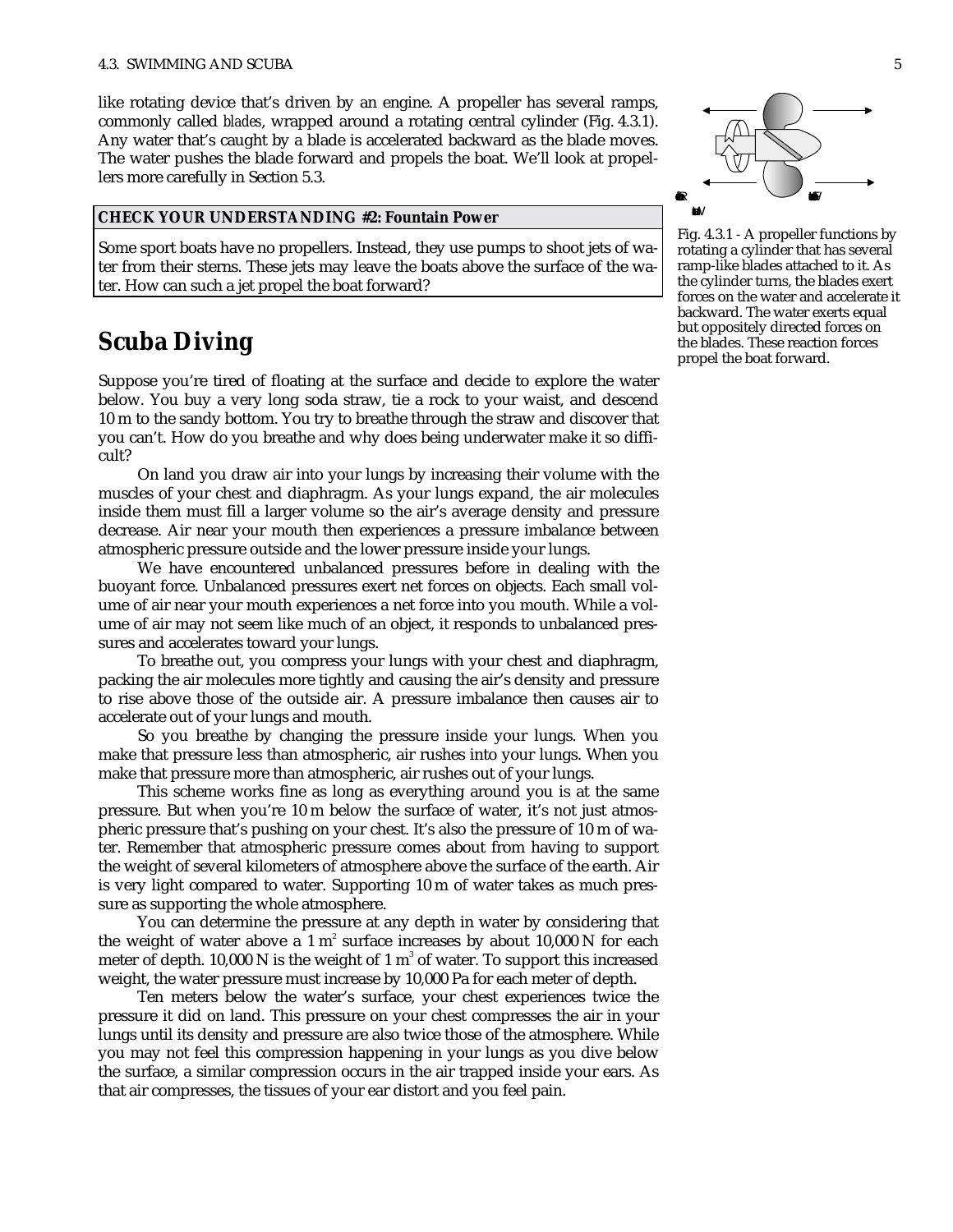like rotating device that's driven by an engine. A propeller has several ramps, commonly called *blades*, wrapped around a rotating central cylinder (Fig. 4.3.1). Any water that's caught by a blade is accelerated backward as the blade moves. The water pushes the blade forward and propels the boat. We'll look at propellers more carefully in Section 5.3.

#### **CHECK YOUR UNDERSTANDING #2: Fountain Power**

Some sport boats have no propellers. Instead, they use pumps to shoot jets of water from their sterns. These jets may leave the boats above the surface of the water. How can such a jet propel the boat forward?

## **Scuba Diving**

Suppose you're tired of floating at the surface and decide to explore the water below. You buy a very long soda straw, tie a rock to your waist, and descend 10 m to the sandy bottom. You try to breathe through the straw and discover that you can't. How do you breathe and why does being underwater make it so difficult?

On land you draw air into your lungs by increasing their volume with the muscles of your chest and diaphragm. As your lungs expand, the air molecules inside them must fill a larger volume so the air's average density and pressure decrease. Air near your mouth then experiences a pressure imbalance between atmospheric pressure outside and the lower pressure inside your lungs.

We have encountered unbalanced pressures before in dealing with the buoyant force. Unbalanced pressures exert net forces on objects. Each small volume of air near your mouth experiences a net force into you mouth. While a volume of air may not seem like much of an object, it responds to unbalanced pressures and accelerates toward your lungs.

To breathe out, you compress your lungs with your chest and diaphragm, packing the air molecules more tightly and causing the air's density and pressure to rise above those of the outside air. A pressure imbalance then causes air to accelerate out of your lungs and mouth.

So you breathe by changing the pressure inside your lungs. When you make that pressure less than atmospheric, air rushes into your lungs. When you make that pressure more than atmospheric, air rushes out of your lungs.

This scheme works fine as long as everything around you is at the same pressure. But when you're 10 m below the surface of water, it's not just atmospheric pressure that's pushing on your chest. It's also the pressure of 10 m of water. Remember that atmospheric pressure comes about from having to support the weight of several kilometers of atmosphere above the surface of the earth. Air is very light compared to water. Supporting 10 m of water takes as much pressure as supporting the whole atmosphere.

You can determine the pressure at any depth in water by considering that the weight of water above a 1  $m^2$  surface increases by about 10,000 N for each meter of depth. 10,000 N is the weight of 1  $\mathrm{m}^3$  of water. To support this increased weight, the water pressure must increase by 10,000 Pa for each meter of depth.

Ten meters below the water's surface, your chest experiences twice the pressure it did on land. This pressure on your chest compresses the air in your lungs until its density and pressure are also twice those of the atmosphere. While you may not feel this compression happening in your lungs as you dive below the surface, a similar compression occurs in the air trapped inside your ears. As that air compresses, the tissues of your ear distort and you feel pain.



Fig. 4.3.1 - A propeller functions by rotating a cylinder that has several ramp-like blades attached to it. As the cylinder turns, the blades exert forces on the water and accelerate it backward. The water exerts equal but oppositely directed forces on the blades. These reaction forces propel the boat forward.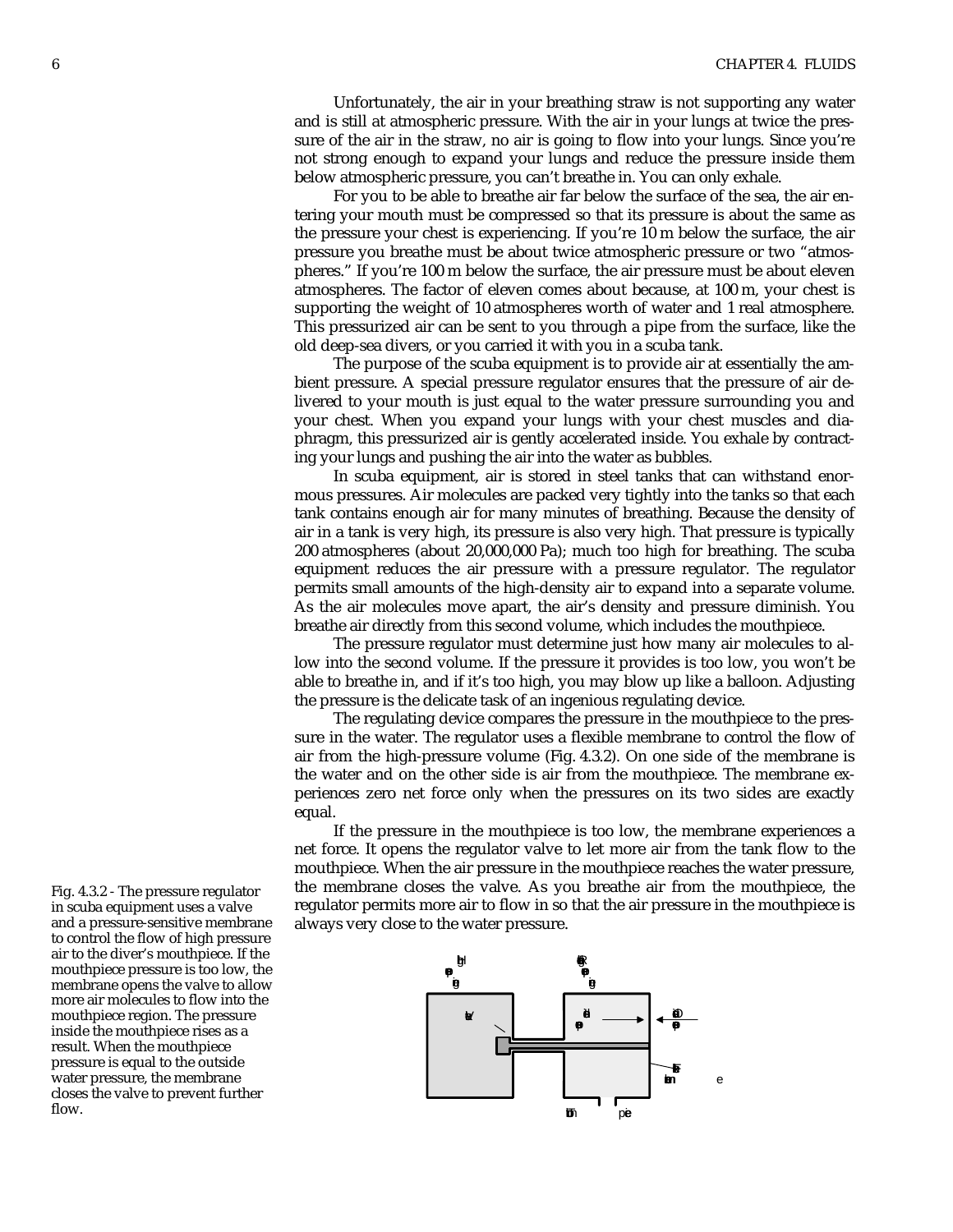Unfortunately, the air in your breathing straw is not supporting any water and is still at atmospheric pressure. With the air in your lungs at twice the pressure of the air in the straw, no air is going to flow into your lungs. Since you're not strong enough to expand your lungs and reduce the pressure inside them below atmospheric pressure, you can't breathe in. You can only exhale.

For you to be able to breathe air far below the surface of the sea, the air entering your mouth must be compressed so that its pressure is about the same as the pressure your chest is experiencing. If you're 10 m below the surface, the air pressure you breathe must be about twice atmospheric pressure or two "atmospheres." If you're 100 m below the surface, the air pressure must be about eleven atmospheres. The factor of eleven comes about because, at 100 m, your chest is supporting the weight of 10 atmospheres worth of water and 1 real atmosphere. This pressurized air can be sent to you through a pipe from the surface, like the old deep-sea divers, or you carried it with you in a scuba tank.

The purpose of the scuba equipment is to provide air at essentially the ambient pressure. A special pressure regulator ensures that the pressure of air delivered to your mouth is just equal to the water pressure surrounding you and your chest. When you expand your lungs with your chest muscles and diaphragm, this pressurized air is gently accelerated inside. You exhale by contracting your lungs and pushing the air into the water as bubbles.

In scuba equipment, air is stored in steel tanks that can withstand enormous pressures. Air molecules are packed very tightly into the tanks so that each tank contains enough air for many minutes of breathing. Because the density of air in a tank is very high, its pressure is also very high. That pressure is typically 200 atmospheres (about 20,000,000 Pa); much too high for breathing. The scuba equipment reduces the air pressure with a pressure regulator. The regulator permits small amounts of the high-density air to expand into a separate volume. As the air molecules move apart, the air's density and pressure diminish. You breathe air directly from this second volume, which includes the mouthpiece.

The pressure regulator must determine just how many air molecules to allow into the second volume. If the pressure it provides is too low, you won't be able to breathe in, and if it's too high, you may blow up like a balloon. Adjusting the pressure is the delicate task of an ingenious regulating device.

The regulating device compares the pressure in the mouthpiece to the pressure in the water. The regulator uses a flexible membrane to control the flow of air from the high-pressure volume (Fig. 4.3.2). On one side of the membrane is the water and on the other side is air from the mouthpiece. The membrane experiences zero net force only when the pressures on its two sides are exactly equal.

If the pressure in the mouthpiece is too low, the membrane experiences a net force. It opens the regulator valve to let more air from the tank flow to the mouthpiece. When the air pressure in the mouthpiece reaches the water pressure, the membrane closes the valve. As you breathe air from the mouthpiece, the regulator permits more air to flow in so that the air pressure in the mouthpiece is always very close to the water pressure.



Fig. 4.3.2 - The pressure regulator in scuba equipment uses a valve and a pressure-sensitive membrane to control the flow of high pressure air to the diver's mouthpiece. If the mouthpiece pressure is too low, the membrane opens the valve to allow more air molecules to flow into the mouthpiece region. The pressure inside the mouthpiece rises as a result. When the mouthpiece pressure is equal to the outside water pressure, the membrane closes the valve to prevent further flow.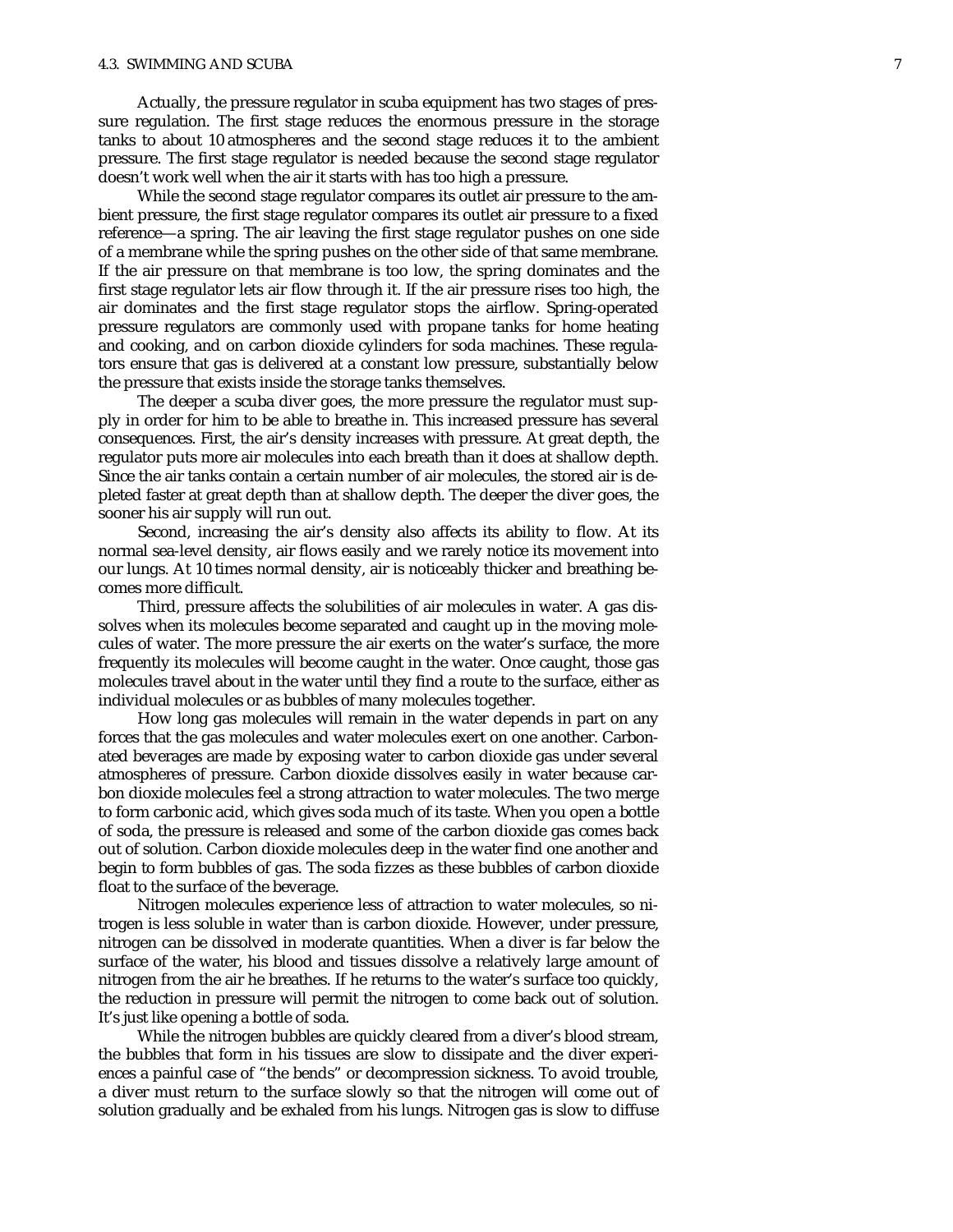#### 4.3. SWIMMING AND SCUBA 7

Actually, the pressure regulator in scuba equipment has two stages of pressure regulation. The first stage reduces the enormous pressure in the storage tanks to about 10 atmospheres and the second stage reduces it to the ambient pressure. The first stage regulator is needed because the second stage regulator doesn 't work well when the air it starts with has too high a pressure.

While the second stage regulator compares its outlet air pressure to the ambient pressure, the first stage regulator compares its outlet air pressure to a fixed reference—a spring. The air leaving the first stage regulator pushes on one side of a membrane while the spring pushes on the other side of that same membrane. If the air pressure on that membrane is too low, the spring dominates and the first stage regulator lets air flow through it. If the air pressure rises too high, the air dominates and the first stage regulator stops the airflow. Spring-operated pressure regulators are commonly used with propane tanks for home heating and cooking, and on carbon dioxide cylinders for soda machines. These regulators ensure that gas is delivered at a constant low pressure, substantially below the pressure that exists inside the storage tanks themselves.

The deeper a scuba diver goes, the more pressure the regulator must supply in order for him to be able to breathe in. This increased pressure has several consequences. First, the air 's density increases with pressure. At great depth, the regulator puts more air molecules into each breath than it does at shallow depth. Since the air tanks contain a certain number of air molecules, the stored air is depleted faster at great depth than at shallow depth. The deeper the diver goes, the sooner his air supply will run out.

Second, increasing the air 's density also affects its ability to flow. At its normal sea-level density, air flows easily and we rarely notice its movement into our lungs. At 10 times normal density, air is noticeably thicker and breathing becomes more difficult.

Third, pressure affects the solubilities of air molecules in water. A gas dissolves when its molecules become separated and caught up in the moving molecules of water. The more pressure the air exerts on the water's surface, the more frequently its molecules will become caught in the water. Once caught, those gas molecules travel about in the water until they find a route to the surface, either as individual molecules or as bubbles of many molecules together.

How long gas molecules will remain in the water depends in part on any forces that the gas molecules and water molecules exert on one another. Carbonated beverages are made by exposing water to carbon dioxide gas under several atmospheres of pressure. Carbon dioxide dissolves easily in water because carbon dioxide molecules feel a strong attraction to water molecules. The two merge to form carbonic acid, which gives soda much of its taste. When you open a bottle of soda, the pressure is released and some of the carbon dioxide gas comes back out of solution. Carbon dioxide molecules deep in the water find one another and begin to form bubbles of gas. The soda fizzes as these bubbles of carbon dioxide float to the surface of the beverage.

Nitrogen molecules experience less of attraction to water molecules, so nitrogen is less soluble in water than is carbon dioxide. However, under pressure, nitrogen can be dissolved in moderate quantities. When a diver is far below the surface of the water, his blood and tissues dissolve a relatively large amount of nitrogen from the air he breathes. If he returns to the water's surface too quickly, the reduction in pressure will permit the nitrogen to come back out of solution. It's just like opening a bottle of soda.

While the nitrogen bubbles are quickly cleared from a diver 's blood stream, the bubbles that form in his tissues are slow to dissipate and the diver experiences a painful case of "the bends" or decompression sickness. To avoid trouble, a diver must return to the surface slowly so that the nitrogen will come out of solution gradually and be exhaled from his lungs. Nitrogen gas is slow to diffuse